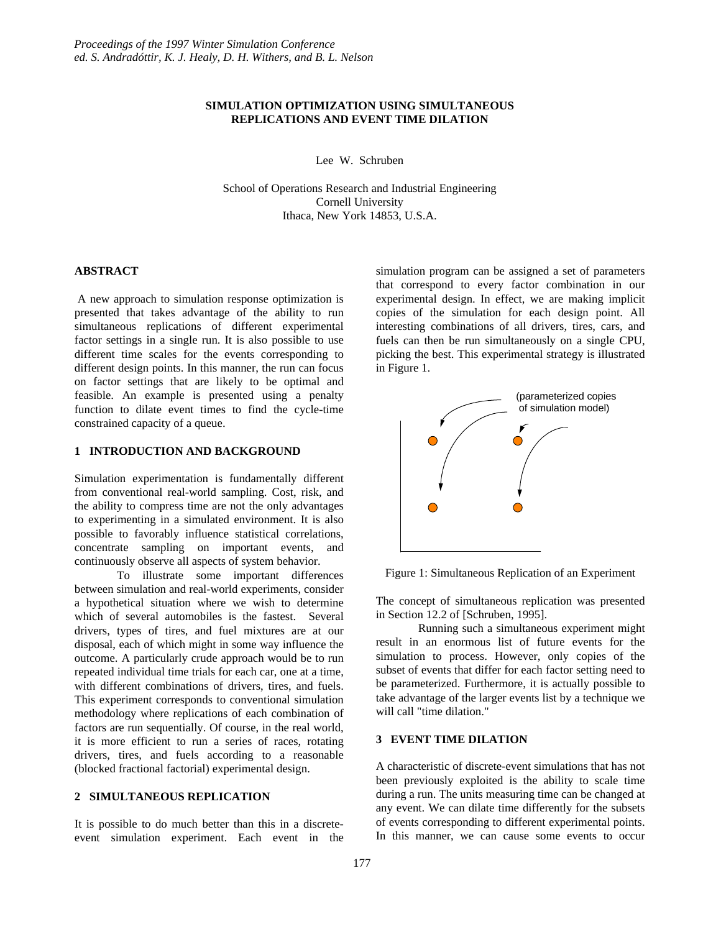# **SIMULATION OPTIMIZATION USING SIMULTANEOUS REPLICATIONS AND EVENT TIME DILATION**

Lee W. Schruben

School of Operations Research and Industrial Engineering Cornell University Ithaca, New York 14853, U.S.A.

## **ABSTRACT**

A new approach to simulation response optimization is presented that takes advantage of the ability to run simultaneous replications of different experimental factor settings in a single run. It is also possible to use different time scales for the events corresponding to different design points. In this manner, the run can focus on factor settings that are likely to be optimal and feasible. An example is presented using a penalty function to dilate event times to find the cycle-time constrained capacity of a queue.

### **1 INTRODUCTION AND BACKGROUND**

Simulation experimentation is fundamentally different from conventional real-world sampling. Cost, risk, and the ability to compress time are not the only advantages to experimenting in a simulated environment. It is also possible to favorably influence statistical correlations, concentrate sampling on important events, and continuously observe all aspects of system behavior.

To illustrate some important differences between simulation and real-world experiments, consider a hypothetical situation where we wish to determine which of several automobiles is the fastest. Several drivers, types of tires, and fuel mixtures are at our disposal, each of which might in some way influence the outcome. A particularly crude approach would be to run repeated individual time trials for each car, one at a time, with different combinations of drivers, tires, and fuels. This experiment corresponds to conventional simulation methodology where replications of each combination of factors are run sequentially. Of course, in the real world, it is more efficient to run a series of races, rotating drivers, tires, and fuels according to a reasonable (blocked fractional factorial) experimental design.

# **2 SIMULTANEOUS REPLICATION**

It is possible to do much better than this in a discreteevent simulation experiment. Each event in the simulation program can be assigned a set of parameters that correspond to every factor combination in our experimental design. In effect, we are making implicit copies of the simulation for each design point. All interesting combinations of all drivers, tires, cars, and fuels can then be run simultaneously on a single CPU, picking the best. This experimental strategy is illustrated in Figure 1.



Figure 1: Simultaneous Replication of an Experiment

The concept of simultaneous replication was presented in Section 12.2 of [Schruben, 1995].

Running such a simultaneous experiment might result in an enormous list of future events for the simulation to process. However, only copies of the subset of events that differ for each factor setting need to be parameterized. Furthermore, it is actually possible to take advantage of the larger events list by a technique we will call "time dilation."

# **3 EVENT TIME DILATION**

A characteristic of discrete-event simulations that has not been previously exploited is the ability to scale time during a run. The units measuring time can be changed at any event. We can dilate time differently for the subsets of events corresponding to different experimental points. In this manner, we can cause some events to occur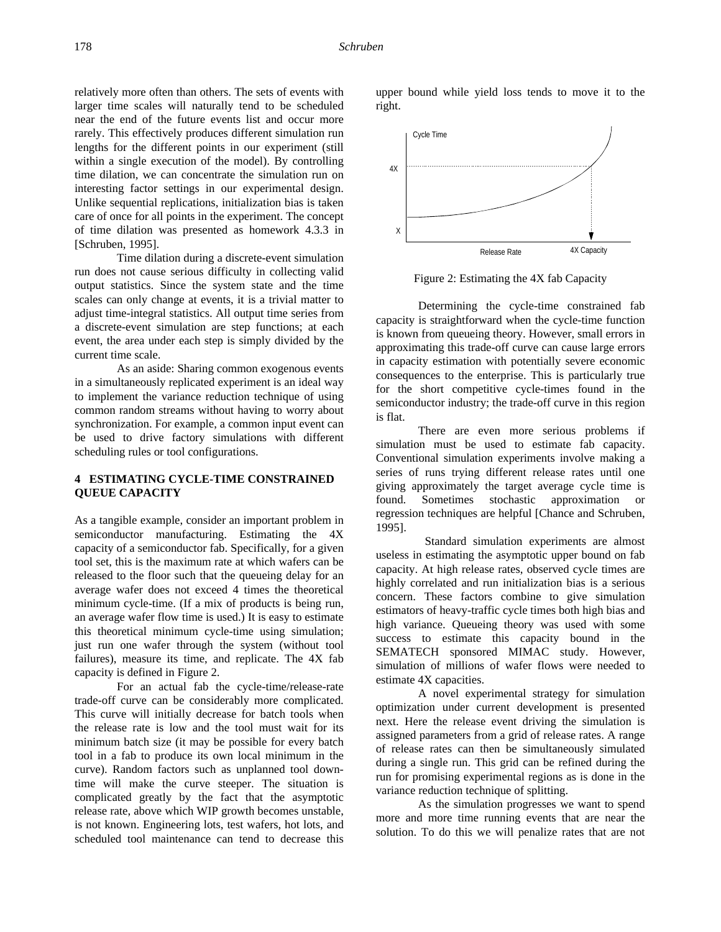relatively more often than others. The sets of events with larger time scales will naturally tend to be scheduled near the end of the future events list and occur more rarely. This effectively produces different simulation run lengths for the different points in our experiment (still within a single execution of the model). By controlling time dilation, we can concentrate the simulation run on interesting factor settings in our experimental design. Unlike sequential replications, initialization bias is taken care of once for all points in the experiment. The concept of time dilation was presented as homework 4.3.3 in [Schruben, 1995].

Time dilation during a discrete-event simulation run does not cause serious difficulty in collecting valid output statistics. Since the system state and the time scales can only change at events, it is a trivial matter to adjust time-integral statistics. All output time series from a discrete-event simulation are step functions; at each event, the area under each step is simply divided by the current time scale.

As an aside: Sharing common exogenous events in a simultaneously replicated experiment is an ideal way to implement the variance reduction technique of using common random streams without having to worry about synchronization. For example, a common input event can be used to drive factory simulations with different scheduling rules or tool configurations.

### **4 ESTIMATING CYCLE-TIME CONSTRAINED QUEUE CAPACITY**

As a tangible example, consider an important problem in semiconductor manufacturing. Estimating the 4X capacity of a semiconductor fab. Specifically, for a given tool set, this is the maximum rate at which wafers can be released to the floor such that the queueing delay for an average wafer does not exceed 4 times the theoretical minimum cycle-time. (If a mix of products is being run, an average wafer flow time is used.) It is easy to estimate this theoretical minimum cycle-time using simulation; just run one wafer through the system (without tool failures), measure its time, and replicate. The 4X fab capacity is defined in Figure 2.

For an actual fab the cycle-time/release-rate trade-off curve can be considerably more complicated. This curve will initially decrease for batch tools when the release rate is low and the tool must wait for its minimum batch size (it may be possible for every batch tool in a fab to produce its own local minimum in the curve). Random factors such as unplanned tool downtime will make the curve steeper. The situation is complicated greatly by the fact that the asymptotic release rate, above which WIP growth becomes unstable, is not known. Engineering lots, test wafers, hot lots, and scheduled tool maintenance can tend to decrease this

upper bound while yield loss tends to move it to the right.



Figure 2: Estimating the 4X fab Capacity

Determining the cycle-time constrained fab capacity is straightforward when the cycle-time function is known from queueing theory. However, small errors in approximating this trade-off curve can cause large errors in capacity estimation with potentially severe economic consequences to the enterprise. This is particularly true for the short competitive cycle-times found in the semiconductor industry; the trade-off curve in this region is flat.

There are even more serious problems if simulation must be used to estimate fab capacity. Conventional simulation experiments involve making a series of runs trying different release rates until one giving approximately the target average cycle time is found. Sometimes stochastic approximation or regression techniques are helpful [Chance and Schruben, 1995].

 Standard simulation experiments are almost useless in estimating the asymptotic upper bound on fab capacity. At high release rates, observed cycle times are highly correlated and run initialization bias is a serious concern. These factors combine to give simulation estimators of heavy-traffic cycle times both high bias and high variance. Queueing theory was used with some success to estimate this capacity bound in the SEMATECH sponsored MIMAC study. However, simulation of millions of wafer flows were needed to estimate 4X capacities.

A novel experimental strategy for simulation optimization under current development is presented next. Here the release event driving the simulation is assigned parameters from a grid of release rates. A range of release rates can then be simultaneously simulated during a single run. This grid can be refined during the run for promising experimental regions as is done in the variance reduction technique of splitting.

As the simulation progresses we want to spend more and more time running events that are near the solution. To do this we will penalize rates that are not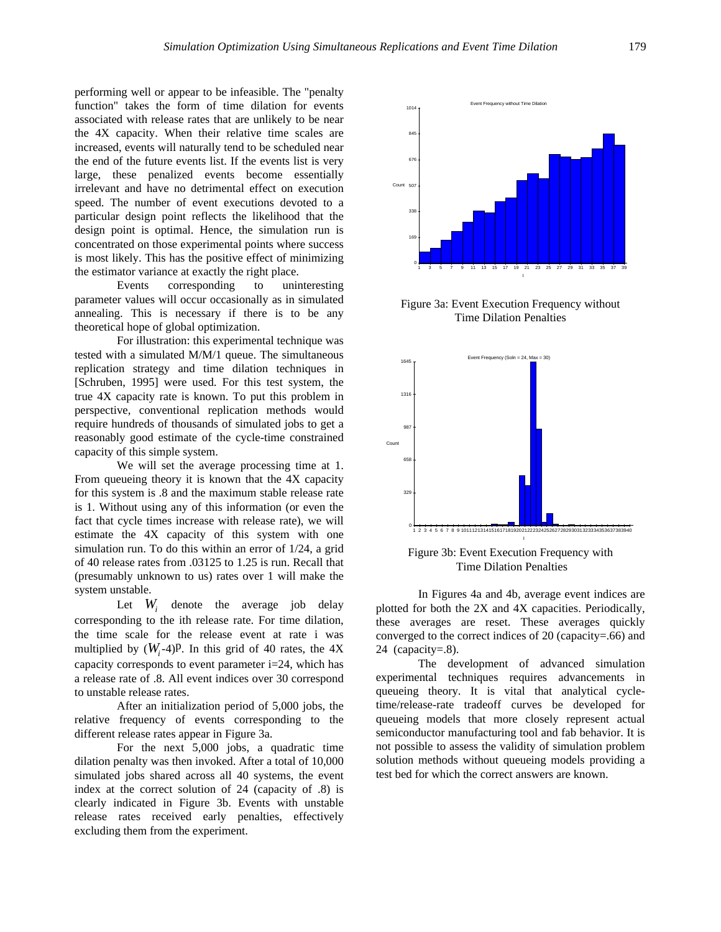performing well or appear to be infeasible. The "penalty function" takes the form of time dilation for events associated with release rates that are unlikely to be near the 4X capacity. When their relative time scales are increased, events will naturally tend to be scheduled near the end of the future events list. If the events list is very large, these penalized events become essentially irrelevant and have no detrimental effect on execution speed. The number of event executions devoted to a particular design point reflects the likelihood that the design point is optimal. Hence, the simulation run is concentrated on those experimental points where success is most likely. This has the positive effect of minimizing the estimator variance at exactly the right place.

Events corresponding to uninteresting parameter values will occur occasionally as in simulated annealing. This is necessary if there is to be any theoretical hope of global optimization.

For illustration: this experimental technique was tested with a simulated M/M/1 queue. The simultaneous replication strategy and time dilation techniques in [Schruben, 1995] were used. For this test system, the true 4X capacity rate is known. To put this problem in perspective, conventional replication methods would require hundreds of thousands of simulated jobs to get a reasonably good estimate of the cycle-time constrained capacity of this simple system.

We will set the average processing time at 1. From queueing theory it is known that the 4X capacity for this system is .8 and the maximum stable release rate is 1. Without using any of this information (or even the fact that cycle times increase with release rate), we will estimate the 4X capacity of this system with one simulation run. To do this within an error of 1/24, a grid of 40 release rates from .03125 to 1.25 is run. Recall that (presumably unknown to us) rates over 1 will make the system unstable.

Let  $W_i$  denote the average job delay corresponding to the ith release rate. For time dilation, the time scale for the release event at rate i was multiplied by  $(W, -4)$ <sup>p</sup>. In this grid of 40 rates, the 4X capacity corresponds to event parameter i=24, which has a release rate of .8. All event indices over 30 correspond to unstable release rates.

After an initialization period of 5,000 jobs, the relative frequency of events corresponding to the different release rates appear in Figure 3a.

For the next 5,000 jobs, a quadratic time dilation penalty was then invoked. After a total of 10,000 simulated jobs shared across all 40 systems, the event index at the correct solution of 24 (capacity of .8) is clearly indicated in Figure 3b. Events with unstable release rates received early penalties, effectively excluding them from the experiment.



Figure 3a: Event Execution Frequency without Time Dilation Penalties



Figure 3b: Event Execution Frequency with Time Dilation Penalties

 In Figures 4a and 4b, average event indices are plotted for both the 2X and 4X capacities. Periodically, these averages are reset. These averages quickly converged to the correct indices of 20 (capacity=.66) and 24 (capacity=.8).

The development of advanced simulation experimental techniques requires advancements in queueing theory. It is vital that analytical cycletime/release-rate tradeoff curves be developed for queueing models that more closely represent actual semiconductor manufacturing tool and fab behavior. It is not possible to assess the validity of simulation problem solution methods without queueing models providing a test bed for which the correct answers are known.